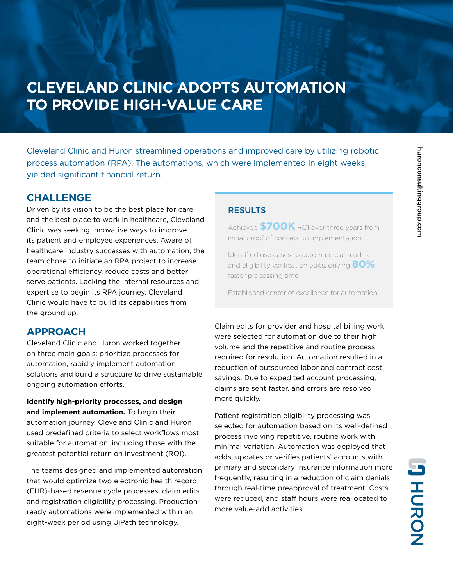# **CLEVELAND CLINIC ADOPTS AUTOMATION TO PROVIDE HIGH-VALUE CARE**

Cleveland Clinic and Huron streamlined operations and improved care by utilizing robotic process automation (RPA). The automations, which were implemented in eight weeks, yielded significant financial return.

## **CHALLENGE**

Driven by its vision to be the best place for care and the best place to work in healthcare, Cleveland Clinic was seeking innovative ways to improve its patient and employee experiences. Aware of healthcare industry successes with automation, the team chose to initiate an RPA project to increase operational efficiency, reduce costs and better serve patients. Lacking the internal resources and expertise to begin its RPA journey, Cleveland Clinic would have to build its capabilities from the ground up.

## **APPROACH**

Cleveland Clinic and Huron worked together on three main goals: prioritize processes for automation, rapidly implement automation solutions and build a structure to drive sustainable, ongoing automation efforts.

**Identify high-priority processes, and design and implement automation.** To begin their automation journey, Cleveland Clinic and Huron used predefined criteria to select workflows most suitable for automation, including those with the greatest potential return on investment (ROI).

The teams designed and implemented automation that would optimize two electronic health record (EHR)-based revenue cycle processes: claim edits and registration eligibility processing. Productionready automations were implemented within an eight-week period using UiPath technology.

### **RESULTS**

Achieved **\$700K** ROI over three years from initial proof of concept to implementation

Identified use cases to automate claim edits and eligibility verification edits, driving **80%** faster processing time

Established center of excellence for automation

Claim edits for provider and hospital billing work were selected for automation due to their high volume and the repetitive and routine process required for resolution. Automation resulted in a reduction of outsourced labor and contract cost savings. Due to expedited account processing, claims are sent faster, and errors are resolved more quickly.

Patient registration eligibility processing was selected for automation based on its well-defined process involving repetitive, routine work with minimal variation. Automation was deployed that adds, updates or verifies patients' accounts with primary and secondary insurance information more frequently, resulting in a reduction of claim denials through real-time preapproval of treatment. Costs were reduced, and staff hours were reallocated to more value-add activities.